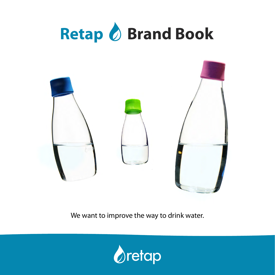



We want to improve the way to drink water.

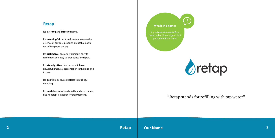### **What's in a name? Retap**

A good name is essential for a brand. It should sound good, look good and suit the brand.



It's a **strong** and **effective** name.

It's **meaningful**, because it communicates the essence of our core product: a reusable bottle for refilling from the tap.

**2 3 Retap Our Name**

It's **distinctive**, because it's unique, easy to remember and easy to pronounce and spell.

It's **visually attractive**, because it has a powerful graphical presentation in the logo and in text.

It's **positive**, because it relates to reusing/ recycling.

It's **modular**, so we can build brand extensions, like: 'to retap', 'Retapper', '#RetapMoment'.

## "Retap stands for **re**filling with **tap** water"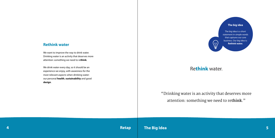#### **The big idea**

The big idea is a short statement in simple words that captures our core business. Our big idea is:

# **Rethink water. Rethink water. Rethink water.**

We want to improve the way to drink water. Drinking water is an activity that deserves more attention: something we need to re**think**.

**4 5 Retap The Big Idea**

We drink water every day, so it should be an experience we enjoy, with awareness for the most relevant aspects when drinking water: our personal **health**, **sustainability** and good **design**.

# Rethink water.

# "Drinking water is an activity that deserves more attention: something we need to re**think**."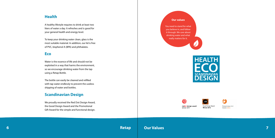



**AWARD 2011** 

#### **Our values**

You need to stand for what you believe in, and follow it through. We care about drinking water and what really matters for it.







reddot design award winner 2011

Winner 2012

### **Retap Our Values**

### **Health**

A healthy lifestyle requires to drink at least two liters of water a day. It refreshes and is good for your general health and energy level.

To keep your drinking water clean, glass is the most suitable material. In addition, our lid is free of PVC, bisphenol A (BPA) and phthalates.

#### **Eco**

Water is the essence of life and should not be exploited in a way that harms the environment, so we encourage drinking water from the tap using a Retap Bottle.

The bottle can easily be cleaned and refilled with tap water endlessly to prevent the useless shipping of water and bottles.

### **Scandinavian Design**

We proudly received the Red Dot Design Award, the Good Design Award and the Promotional Gift Award for the simple and functional design.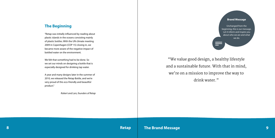"We value good design, a healthy lifestyle and a sustainable future. With that in mind, we're on a mission to improve the way to drink water."

### **The Beginning**

"Retap was initially influenced by reading about plastic islands in the oceans consisting mainly of plastic bottles. With the UN climate meeting 2009 in Copenhagen (COP 15) closing in, we became more aware of the negative impact of bottled water on the environment.

We felt that something had to be done. So we set our minds on designing a bottle that is especially designed for drinking tap water.

A year and many designs later in the summer of 2010, we released the Retap Bottle, and we're very proud of this eco-friendly and beautiful product."

*Robert and Lars, founders of Retap*

#### **Brand Message**

Unchanged from the beginning, this is our message. Let it inform and inspire you about who we are and what we do.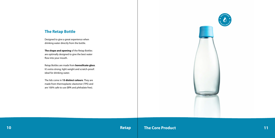



### **The Retap Bottle**

Designed to give a great experience when drinking water directly from the bottle.

**The shape and opening** of the Retap Bottles are optimally designed to give the best water flow into your mouth.

Retap Bottles are made from **borosilicate glass**. It's extra strong, light weight and scratch-proof: ideal for drinking water.

The lids come in **15 distinct colours**. They are made from thermoplastic elastomer (TPE) and are 100% safe to use (BPA and phthalate free).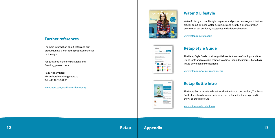**12 Retap Appendix 13**

# **Water & Lifestyle**

Water & Lifestyle is our lifestyle magazine and product catalogue. It features articles about drinking water, design, eco and health. It also features an overview of our products, accessories and additional options.

[www.retap.com/catalogue](http://www.retap.com/catalogue)

# $\triangle$ retap

 $\triangle$ retap

## **Retap Style Guide**

The Retap Style Guide provides guidelines for the use of our logo and the use of fonts and colours in relation to official Retap documents. It also has a link to download our offical logo.

[www.retap.com/for-press-and-media](http://www.retap.com/for-press-and-media)

# **Retap Bottle Intro**

The Retap Bottle Intro is a short introduction in our core product, The Retap Bottle. It explains how our main values are reflected in the design and it shows all our lid colours.

[www.retap.com/product-info](http://www.retap.com/product-info)

### **Further references**

For more information about Retap and our products, have a look at the proposed material on the right.

For questions related to Marketing and Branding, please contact:

**Robert Hjernberg** Mail: robert.hjernberg@retap.se Tel.: +46 70 692 64 06

[www.retap.com/staff/robert-hjernberg](http://www.retap.com/staff/robert-hjernberg)